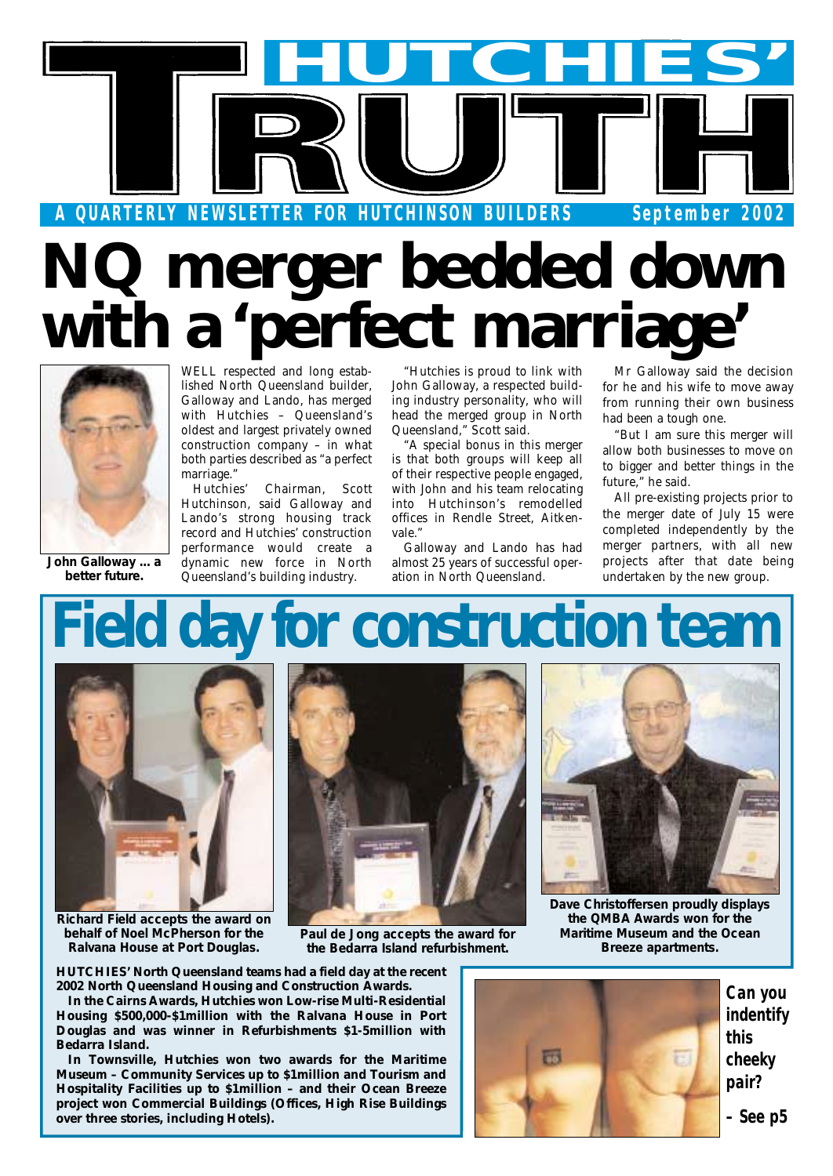

# **NQ merger bedded down with a 'perfect marriage'**



*John Galloway ... a better future.*

WELL respected and long established North Queensland builder, Galloway and Lando, has merged with Hutchies – Queensland's oldest and largest privately owned construction company – in what both parties described as "a perfect marriage."

Hutchies' Chairman, Scott Hutchinson, said Galloway and Lando's strong housing track record and Hutchies' construction performance would create a dynamic new force in North Queensland's building industry.

"Hutchies is proud to link with John Galloway, a respected building industry personality, who will head the merged group in North Queensland," Scott said.

"A special bonus in this merger is that both groups will keep all of their respective people engaged, with John and his team relocating into Hutchinson's remodelled offices in Rendle Street, Aitkenvale."

Galloway and Lando has had almost 25 years of successful operation in North Queensland.

Mr Galloway said the decision for he and his wife to move away from running their own business had been a tough one.

"But I am sure this merger will allow both businesses to move on to bigger and better things in the future," he said.

All pre-existing projects prior to the merger date of July 15 were completed independently by the merger partners, with all new projects after that date being undertaken by the new group.

# **Field day for construction team**



*Richard Field accepts the award on behalf of Noel McPherson for the Ralvana House at Port Douglas.*



*Paul de Jong accepts the award for the Bedarra Island refurbishment.*



*Dave Christoffersen proudly displays the QMBA Awards won for the Maritime Museum and the Ocean Breeze apartments.*

**HUTCHIES' North Queensland teams had a field day at the recent 2002 North Queensland Housing and Construction Awards.**

**In the Cairns Awards, Hutchies won Low-rise Multi-Residential Housing \$500,000-\$1million with the Ralvana House in Port Douglas and was winner in Refurbishments \$1-5million with Bedarra Island.**

**In Townsville, Hutchies won two awards for the Maritime Museum – Community Services up to \$1million and Tourism and Hospitality Facilities up to \$1million – and their Ocean Breeze project won Commercial Buildings (Offices, High Rise Buildings over three stories, including Hotels).**



*Can you indentify this cheeky pair?*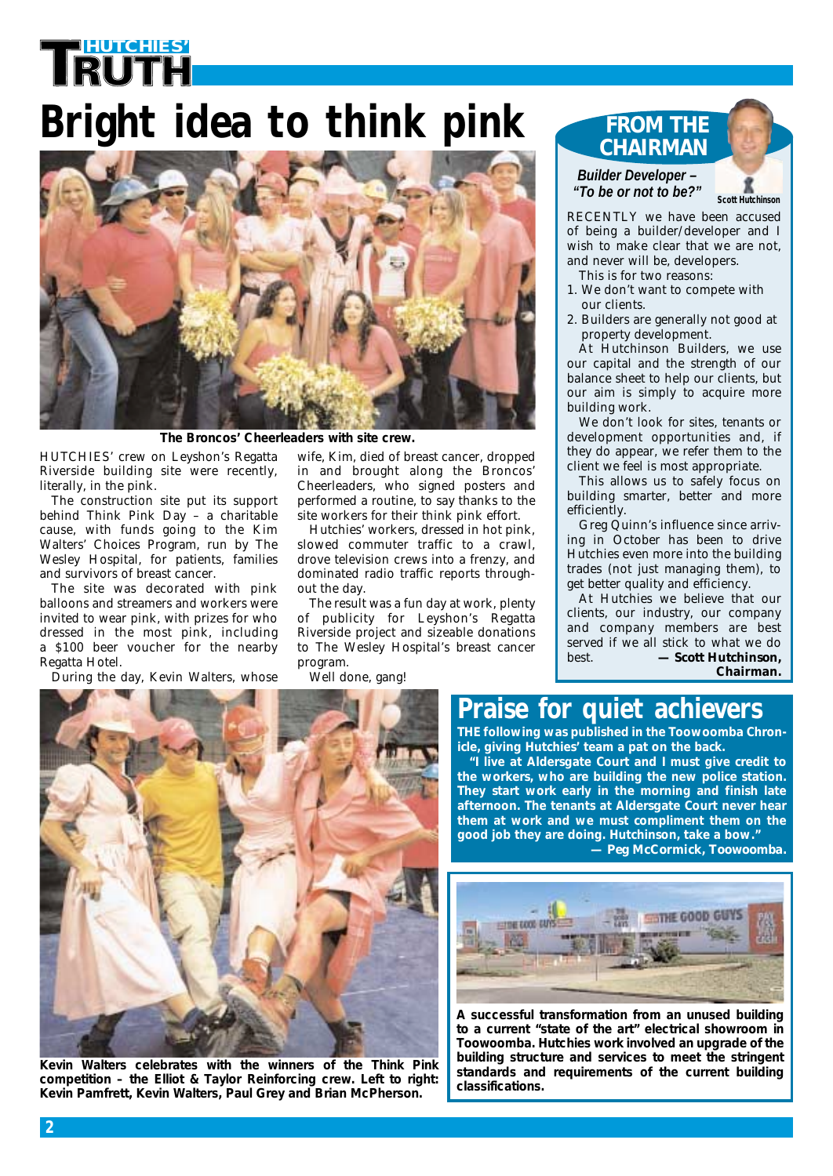# **HUTCHIES' Bright idea to think pink**



*The Broncos' Cheerleaders with site crew.*

HUTCHIES' crew on Leyshon's Regatta Riverside building site were recently, literally, in the pink.

The construction site put its support behind Think Pink Day – a charitable cause, with funds going to the Kim Walters' Choices Program, run by The Wesley Hospital, for patients, families and survivors of breast cancer.

The site was decorated with pink balloons and streamers and workers were invited to wear pink, with prizes for who dressed in the most pink, including a \$100 beer voucher for the nearby Regatta Hotel.

During the day, Kevin Walters, whose

wife, Kim, died of breast cancer, dropped in and brought along the Broncos' Cheerleaders, who signed posters and performed a routine, to say thanks to the site workers for their think pink effort.

Hutchies' workers, dressed in hot pink, slowed commuter traffic to a crawl, drove television crews into a frenzy, and dominated radio traffic reports throughout the day.

The result was a fun day at work, plenty of publicity for Leyshon's Regatta Riverside project and sizeable donations to The Wesley Hospital's breast cancer program.

Well done, gang!

#### **FROM THE CHAIRMAN**

*Builder Developer – "To be or not to be?"*

*Scott Hutchinson*

RECENTLY we have been accused of being a builder/developer and I wish to make clear that we are not, and never will be, developers.

- This is for two reasons:
- 1. We don't want to compete with our clients.
- 2. Builders are generally not good at property development.

At Hutchinson Builders, we use our capital and the strength of our balance sheet to help our clients, but our aim is simply to acquire more building work.

We don't look for sites, tenants or development opportunities and, if they do appear, we refer them to the client we feel is most appropriate.

This allows us to safely focus on building smarter, better and more efficiently.

Greg Quinn's influence since arriving in October has been to drive Hutchies even more into the building trades (not just managing them), to get better quality and efficiency.

At Hutchies we believe that our clients, our industry, our company and company members are best served if we all stick to what we do best. *— Scott Hutchinson, Chairman.*

### **Praise for quiet achievers**

**THE following was published in the Toowoomba Chronicle, giving Hutchies' team a pat on the back.**

**"I live at Aldersgate Court and I must give credit to the workers, who are building the new police station. They start work early in the morning and finish late afternoon. The tenants at Aldersgate Court never hear them at work and we must compliment them on the good job they are doing. Hutchinson, take a bow."**

*— Peg McCormick, Toowoomba.*



*A successful transformation from an unused building to a current "state of the art" electrical showroom in Toowoomba. Hutchies work involved an upgrade of the building structure and services to meet the stringent standards and requirements of the current building classifications.*



*Kevin Walters celebrates with the winners of the Think Pink competition – the Elliot & Taylor Reinforcing crew. Left to right: Kevin Pamfrett, Kevin Walters, Paul Grey and Brian McPherson.*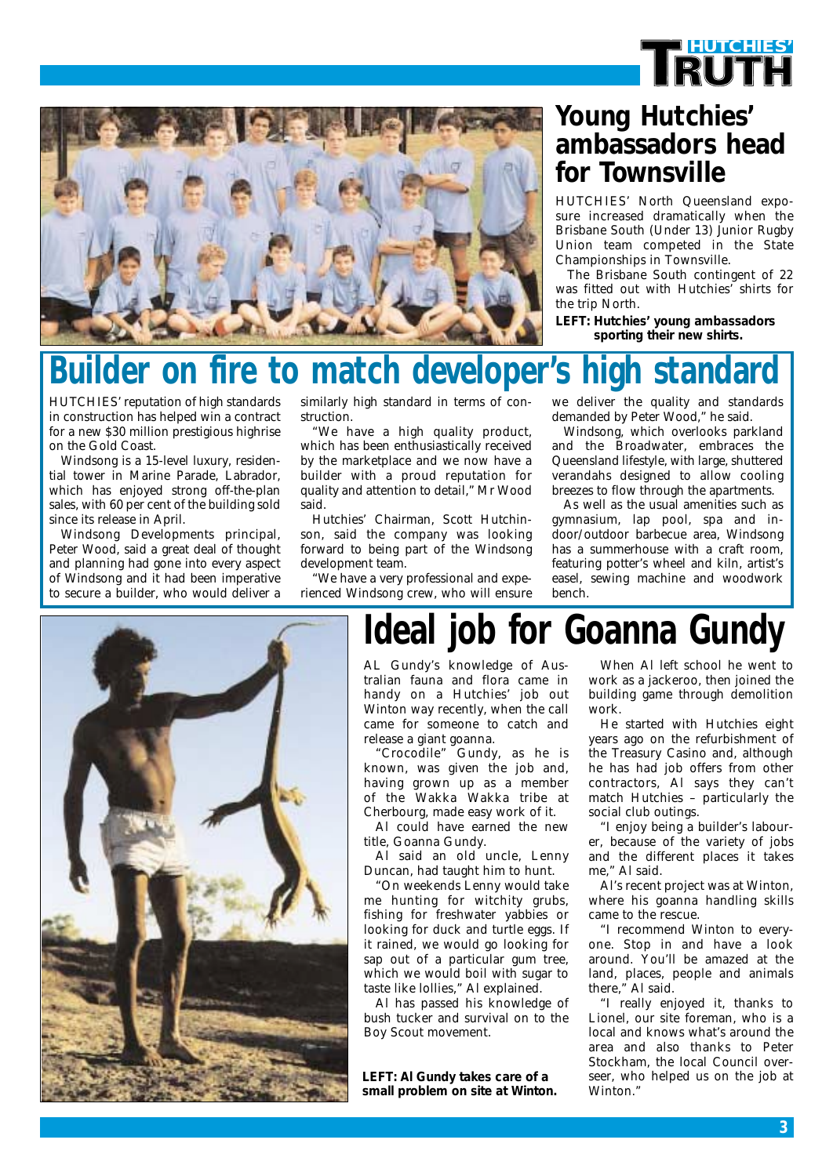



### **Young Hutchies' ambassadors head for Townsville**

HUTCHIES' North Queensland exposure increased dramatically when the Brisbane South (Under 13) Junior Rugby Union team competed in the State Championships in Townsville.

The Brisbane South contingent of 22 was fitted out with Hutchies' shirts for the trip North.

*LEFT: Hutchies' young ambassadors sporting their new shirts.*

# **Ider on fire to match developer's high standard**

HUTCHIES' reputation of high standards in construction has helped win a contract for a new \$30 million prestigious highrise on the Gold Coast.

Windsong is a 15-level luxury, residential tower in Marine Parade, Labrador, which has enjoyed strong off-the-plan sales, with 60 per cent of the building sold since its release in April.

Windsong Developments principal, Peter Wood, said a great deal of thought and planning had gone into every aspect of Windsong and it had been imperative to secure a builder, who would deliver a

similarly high standard in terms of construction.

"We have a high quality product, which has been enthusiastically received by the marketplace and we now have a builder with a proud reputation for quality and attention to detail," Mr Wood said.

Hutchies' Chairman, Scott Hutchinson, said the company was looking forward to being part of the Windsong development team.

"We have a very professional and experienced Windsong crew, who will ensure we deliver the quality and standards demanded by Peter Wood," he said.

Windsong, which overlooks parkland and the Broadwater, embraces the Queensland lifestyle, with large, shuttered verandahs designed to allow cooling breezes to flow through the apartments.

As well as the usual amenities such as gymnasium, lap pool, spa and indoor/outdoor barbecue area, Windsong has a summerhouse with a craft room, featuring potter's wheel and kiln, artist's easel, sewing machine and woodwork bench.



# **Ideal job for Goanna Gundy**

AL Gundy's knowledge of Australian fauna and flora came in handy on a Hutchies' job out Winton way recently, when the call came for someone to catch and release a giant goanna.

"Crocodile" Gundy, as he is known, was given the job and, having grown up as a member of the Wakka Wakka tribe at Cherbourg, made easy work of it.

Al could have earned the new title, Goanna Gundy.

Al said an old uncle, Lenny Duncan, had taught him to hunt.

"On weekends Lenny would take me hunting for witchity grubs, fishing for freshwater yabbies or looking for duck and turtle eggs. If it rained, we would go looking for sap out of a particular gum tree, which we would boil with sugar to taste like lollies," Al explained.

Al has passed his knowledge of bush tucker and survival on to the Boy Scout movement.

*LEFT: Al Gundy takes care of a small problem on site at Winton.*

When Al left school he went to work as a jackeroo, then joined the building game through demolition work.

He started with Hutchies eight years ago on the refurbishment of the Treasury Casino and, although he has had job offers from other contractors, Al says they can't match Hutchies – particularly the social club outings.

"I enjoy being a builder's labourer, because of the variety of jobs and the different places it takes me," Al said.

Al's recent project was at Winton, where his goanna handling skills came to the rescue.

"I recommend Winton to everyone. Stop in and have a look around. You'll be amazed at the land, places, people and animals there," Al said.

"I really enjoyed it, thanks to Lionel, our site foreman, who is a local and knows what's around the area and also thanks to Peter Stockham, the local Council overseer, who helped us on the job at Winton."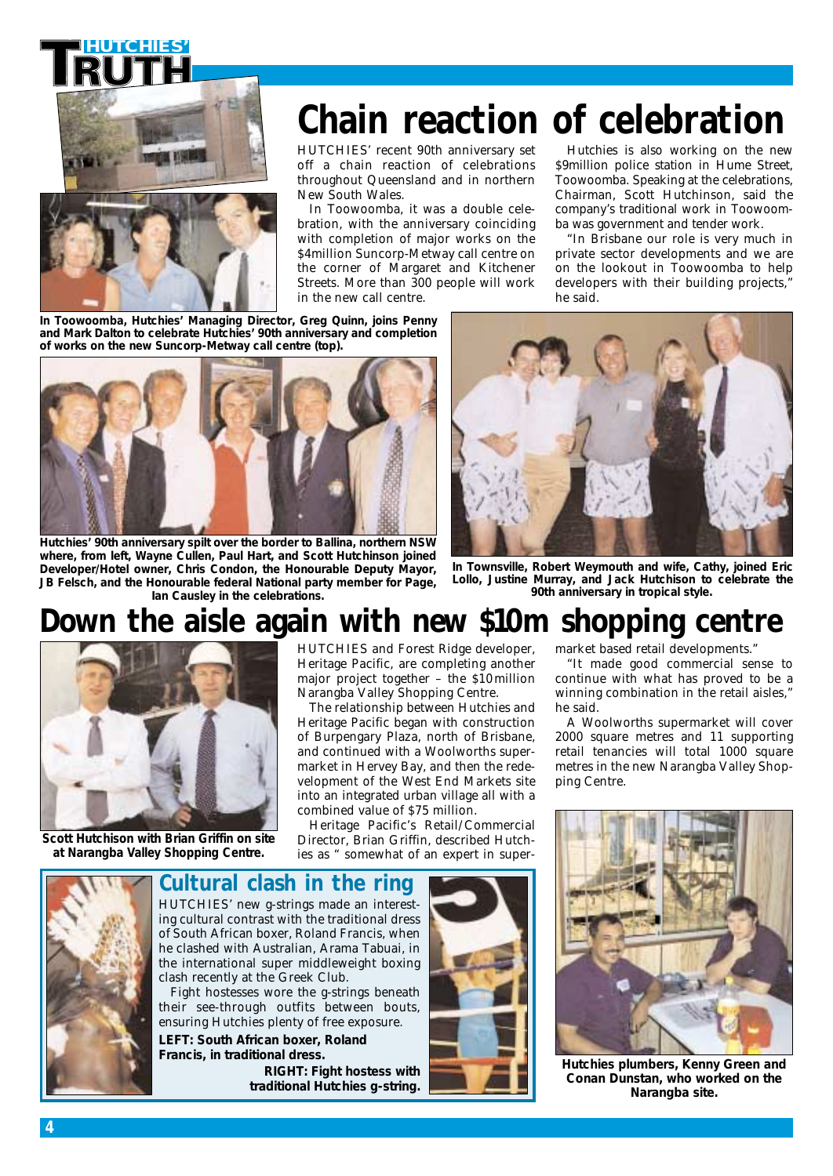



# **Chain reaction of celebration**

HUTCHIES' recent 90th anniversary set off a chain reaction of celebrations throughout Queensland and in northern New South Wales.

In Toowoomba, it was a double celebration, with the anniversary coinciding with completion of major works on the \$4million Suncorp-Metway call centre on the corner of Margaret and Kitchener Streets. More than 300 people will work in the new call centre.

Hutchies is also working on the new \$9million police station in Hume Street, Toowoomba. Speaking at the celebrations, Chairman, Scott Hutchinson, said the company's traditional work in Toowoomba was government and tender work.

"In Brisbane our role is very much in private sector developments and we are on the lookout in Toowoomba to help developers with their building projects," he said.

*In Toowoomba, Hutchies' Managing Director, Greg Quinn, joins Penny and Mark Dalton to celebrate Hutchies' 90th anniversary and completion of works on the new Suncorp-Metway call centre (top).*



*Hutchies' 90th anniversary spilt over the border to Ballina, northern NSW where, from left, Wayne Cullen, Paul Hart, and Scott Hutchinson joined Developer/Hotel owner, Chris Condon, the Honourable Deputy Mayor, JB Felsch, and the Honourable federal National party member for Page, Ian Causley in the celebrations.*



*In Townsville, Robert Weymouth and wife, Cathy, joined Eric Lollo, Justine Murray, and Jack Hutchison to celebrate the 90th anniversary in tropical style.*

### **Down the aisle again with new \$10m shopping centre**



*Scott Hutchison with Brian Griffin on site at Narangba Valley Shopping Centre.*

HUTCHIES and Forest Ridge developer, Heritage Pacific, are completing another major project together – the \$10million Narangba Valley Shopping Centre.

The relationship between Hutchies and Heritage Pacific began with construction of Burpengary Plaza, north of Brisbane, and continued with a Woolworths supermarket in Hervey Bay, and then the redevelopment of the West End Markets site into an integrated urban village all with a combined value of \$75 million.

Heritage Pacific's Retail/Commercial Director, Brian Griffin, described Hutchies as " somewhat of an expert in supermarket based retail developments."

"It made good commercial sense to continue with what has proved to be a winning combination in the retail aisles," he said.

A Woolworths supermarket will cover 2000 square metres and 11 supporting retail tenancies will total 1000 square metres in the new Narangba Valley Shopping Centre.



*Hutchies plumbers, Kenny Green and Conan Dunstan, who worked on the Narangba site.*



of South African boxer, Roland Francis, when he clashed with Australian, Arama Tabuai, in the international super middleweight boxing clash recently at the Greek Club.

Fight hostesses wore the g-strings beneath their see-through outfits between bouts, ensuring Hutchies plenty of free exposure.

*LEFT: South African boxer, Roland Francis, in traditional dress. RIGHT: Fight hostess with traditional Hutchies g-string.*

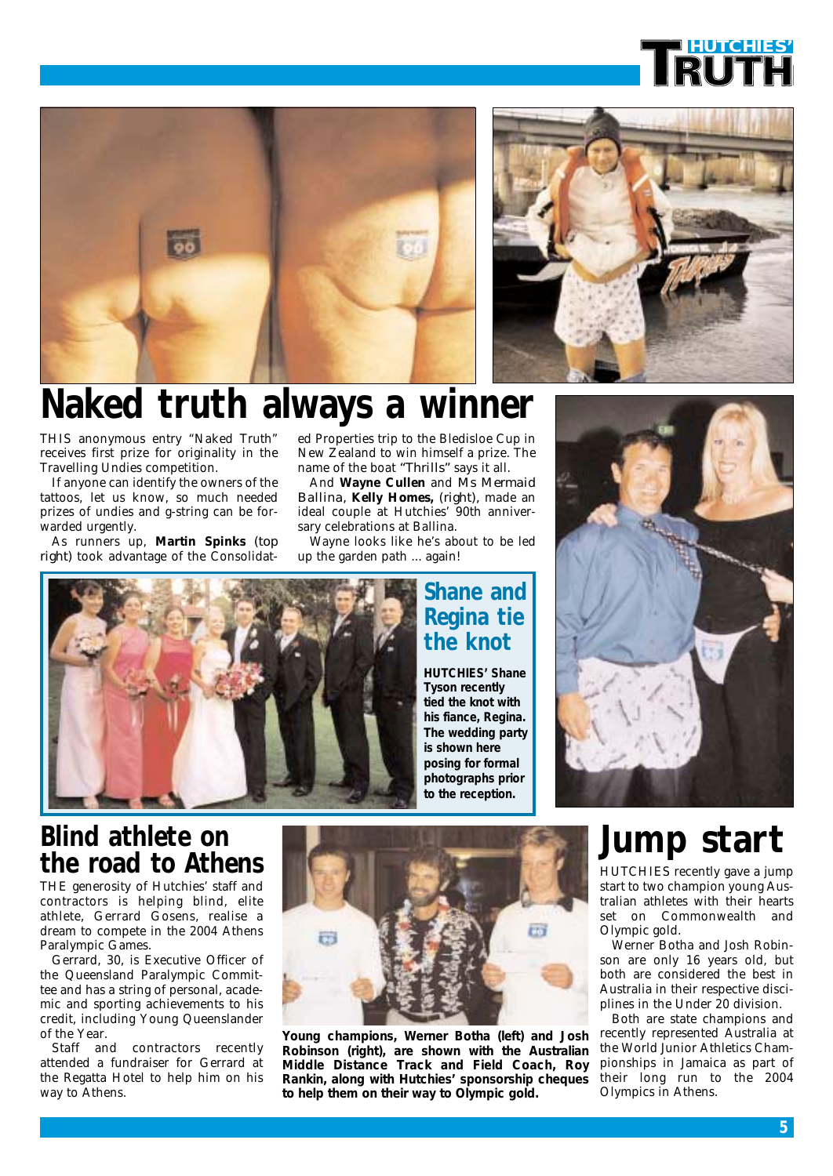





# **Naked truth always a winner**

THIS anonymous entry "Naked Truth" receives first prize for originality in the Travelling Undies competition.

If anyone can identify the owners of the tattoos, let us know, so much needed prizes of undies and g-string can be forwarded urgently.

As runners up, **Martin Spinks** *(top right)* took advantage of the Consolidated Properties trip to the Bledisloe Cup in New Zealand to win himself a prize. The name of the boat *"Thrills"* says it all.

And **Wayne Cullen** and *Ms Mermaid Ballina,* **Kelly Homes,** *(right),* made an ideal couple at Hutchies' 90th anniversary celebrations at Ballina.

Wayne looks like he's about to be led up the garden path ... again!



### **Shane and Regina tie the knot**

*HUTCHIES' Shane Tyson recently tied the knot with his fiance, Regina. The wedding party is shown here posing for formal photographs prior to the reception.*



### **Blind athlete on the road to Athens**

THE generosity of Hutchies' staff and contractors is helping blind, elite athlete, Gerrard Gosens, realise a dream to compete in the 2004 Athens Paralympic Games.

Gerrard, 30, is Executive Officer of the Queensland Paralympic Committee and has a string of personal, academic and sporting achievements to his credit, including Young Queenslander of the Year.

Staff and contractors recently attended a fundraiser for Gerrard at the Regatta Hotel to help him on his way to Athens.



*Young champions, Werner Botha (left) and Josh Robinson (right), are shown with the Australian Middle Distance Track and Field Coach, Roy Rankin, along with Hutchies' sponsorship cheques to help them on their way to Olympic gold.*

# **Jump start**

HUTCHIES recently gave a jump start to two champion young Australian athletes with their hearts set on Commonwealth and Olympic gold.

Werner Botha and Josh Robinson are only 16 years old, but both are considered the best in Australia in their respective disciplines in the Under 20 division.

Both are state champions and recently represented Australia at the World Junior Athletics Championships in Jamaica as part of their long run to the 2004 Olympics in Athens.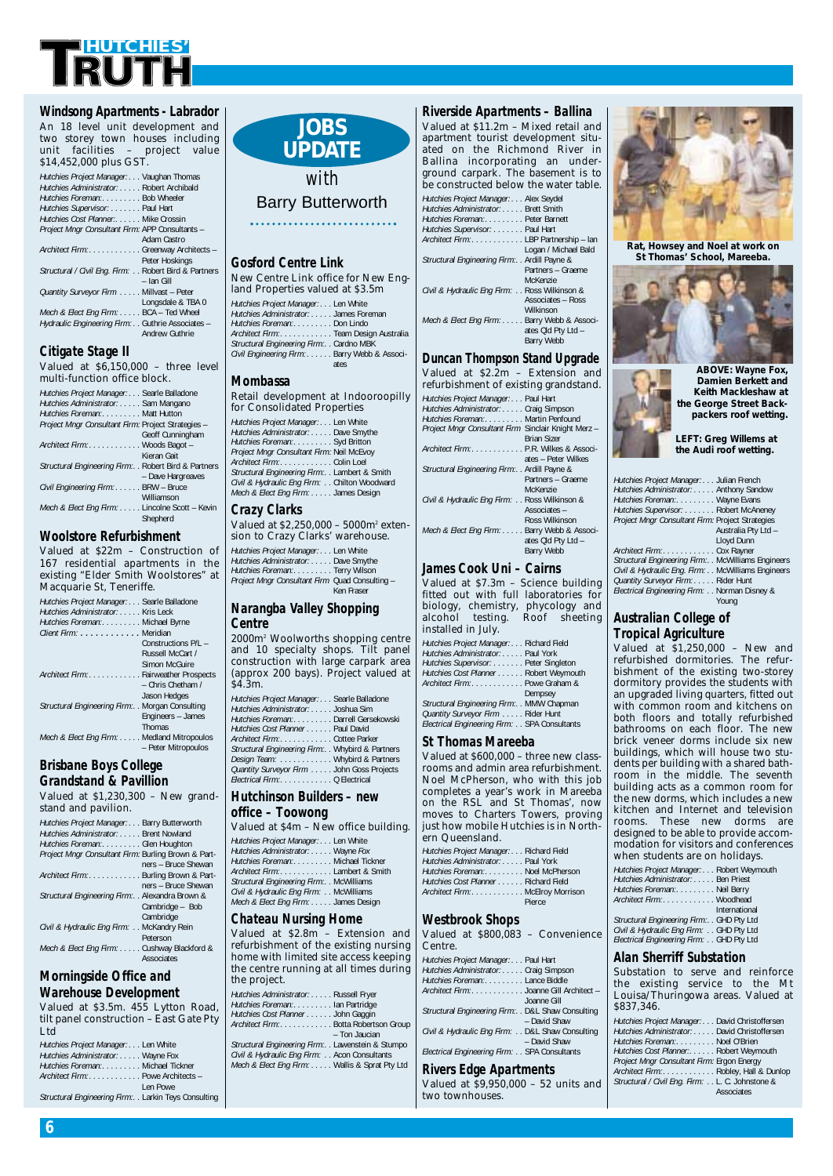

#### *Windsong Apartments - Labrador* An 18 level unit development and two storey town houses including unit facilities – project value

| \$14,452,000 plus GST.                               |
|------------------------------------------------------|
| Hutchies Project Manager: Vaughan Thomas             |
| Hutchies Administrator: Robert Archibald             |
| Hutchies Foreman: Bob Wheeler                        |
| Hutchies Supervisor: Paul Hart                       |
| Hutchies Cost Planner: Mike Crossin                  |
| Project Mngr Consultant Firm: APP Consultants -      |
| Adam Castro                                          |
| Architect Firm: Greenway Architects -                |
| Peter Hoskings                                       |
| Structural / Civil Eng. Firm: Robert Bird & Partners |
| - Ian Gill                                           |
| Quantity Surveyor Firm Millvast - Peter              |
| Longsdale & TBA 0                                    |
| Mech & Elect Eng Firm: BCA - Ted Wheel               |
| Hydraulic Engineering Firm: Guthrie Associates -     |
| <b>Andrew Guthrie</b>                                |

#### *Citigate Stage II*

Valued at \$6,150,000 – three level multi-function office block.

| Hutchies Project Manager: Searle Balladone          |                   |
|-----------------------------------------------------|-------------------|
| Hutchies Administrator: Sam Mangano                 |                   |
| Hutchies Foreman: Matt Hutton                       |                   |
| Project Mngr Consultant Firm: Project Strategies -  |                   |
|                                                     | Geoff Cunningham  |
| Architect Firm: Woods Bagot -                       |                   |
|                                                     | Kieran Gait       |
| Structural Engineering Firm: Robert Bird & Partners |                   |
|                                                     | - Dave Hargreaves |
| Civil Engineering Firm: BRW - Bruce                 |                   |
|                                                     | Williamson        |
| Mech & Elect Eng Firm: Lincolne Scott - Kevin       |                   |
|                                                     | Shepherd          |

#### *Woolstore Refurbishment*

Valued at \$22m – Construction of 167 residential apartments in the existing "Elder Smith Woolstores" at Macquarie St, Teneriffe.

| Hutchies Project Manager: Searle Balladone        |                     |
|---------------------------------------------------|---------------------|
| Hutchies Administrator: Kris Leck                 |                     |
| Hutchies Foreman: Michael Byrne                   |                     |
| Client Firm: Meridian                             |                     |
|                                                   | Constructions P/I - |
|                                                   | Russell McCart /    |
|                                                   | Simon McGuire       |
| Architect Firm: Fairweather Prospects             |                     |
|                                                   | - Chris Chetham /   |
|                                                   | Jason Hedges        |
| Structural Engineering Firm:. . Morgan Consulting |                     |
|                                                   | Engineers - James   |
|                                                   | Thomas              |
| Mech & Elect Eng Firm: Medland Mitropoulos        |                     |
|                                                   | - Peter Mitropoulos |

#### *Brisbane Boys College Grandstand & Pavillion*

Valued at \$1,230,300 – New grandstand and pavilion.

| stanu anu pavinon.                                  |
|-----------------------------------------------------|
| Hutchies Project Manager: Barry Butterworth         |
| Hutchies Administrator: Brent Nowland               |
| Hutchies Foreman: Glen Houghton                     |
| Project Mngr Consultant Firm: Burling Brown & Part- |
| ners - Bruce Shewan                                 |
| Architect Firm: Burling Brown & Part-               |
| ners - Bruce Shewan                                 |
| Structural Engineering Firm: . Alexandra Brown &    |
| Cambridge - Bob                                     |
| Cambridge                                           |
| Civil & Hydraulic Eng Firm: McKandry Rein           |
| Peterson                                            |
| Mech & Elect Eng Firm: Cushway Blackford &          |
| Associates                                          |

#### *Morningside Office and Warehouse Development*

Valued at \$3.5m. 455 Lytton Road, tilt panel construction – East Gate Pty Ltd

| Hutchies Project Manager: Len White                 |          |
|-----------------------------------------------------|----------|
| Hutchies Administrator: Wayne Fox                   |          |
| Hutchies Foreman: Michael Tickner                   |          |
| Architect Firm:Powe Architects -                    |          |
|                                                     | Len Powe |
| Structural Engineering Firm: Larkin Teys Consulting |          |

#### **JOBS UPDATE**

#### *with* Barry Butterworth

#### *Gosford Centre Link*

| New Centre Link office for New Eng-                                                                           |
|---------------------------------------------------------------------------------------------------------------|
| land Properties valued at \$3.5m                                                                              |
| Hutchies Project Manager: Len White                                                                           |
| Hutchies Administrator: James Foreman                                                                         |
| Hutchies Foreman: Don Lindo                                                                                   |
| Architect Firm:Team Design Australia                                                                          |
| Structural Engineering Firm:. . Cardno MBK                                                                    |
| $O(1.31)$ From the continues $P(1, 1, 1)$ and $P(2, 1, 1)$ and $P(3, 1, 1)$ and $P(4, 1, 1)$ and $P(5, 1, 1)$ |

*Civil Engineering Firm: . . . . . .* Barry Webb & Associates

#### *Mombassa*

#### Retail development at Indooroopilly for Consolidated Properties

*Hutchies Project Manager: . . .* Len White *Hutchies Administrator: . . . . .* Dave Smythe *Hutchies Foreman:. . . . . . . . .* Syd Britton *Project Mngr Consultant Firm:* Neil McEvoy *Architect Firm:. . . . . . . . . . . .* Colin Loel *Structural Engineering Firm:. .* Lambert & Smith *Civil & Hydraulic Eng Firm: . .* Chilton Woodward *Mech & Elect Eng Firm: . . . . .* James Design

#### *Crazy Clarks*

Valued at \$2,250,000 – 5000m2 extension to Crazy Clarks' warehouse.

*Hutchies Project Manager: . . .* Len White *Hutchies Administrator: . . . . .* Dave Smythe *Hutchies Foreman:. . . . . . . . .* Terry Wilson *Project Mngr Consultant Firm* Quad Consulting – Ken Fraser

#### *Narangba Valley Shopping Centre*

2000m2 Woolworths shopping centre and 10 specialty shops. Tilt panel construction with large carpark area (approx 200 bays). Project valued at \$4.3m.

| Hutchies Project Manager: Searle Balladone         |
|----------------------------------------------------|
| Hutchies Administrator: Joshua Sim                 |
| Hutchies Foreman: Darrell Gersekowski              |
| Hutchies Cost Planner Paul David                   |
| Architect Firm: Cottee Parker                      |
| Structural Engineering Firm:. . Whybird & Partners |
| Design Team:  Whybird & Partners                   |
| Quantity Surveyor Firm John Goss Projects          |
| Electrical Firm: Q Electrical                      |
|                                                    |

#### *Hutchinson Builders – new office – Toowong*

| Valued at \$4m - New office building.     |
|-------------------------------------------|
| Hutchies Project Manager: Len White       |
| Hutchies Administrator: Wayne Fox         |
| Hutchies Foreman: Michael Tickner         |
| Architect Firm:Lambert & Smith            |
| Structural Engineering Firm: . McWilliams |
| Civil & Hydraulic Eng Firm: McWilliams    |
| Mech & Elect Eng Firm: James Design       |

#### *Chateau Nursing Home*

Valued at \$2.8m – Extension and refurbishment of the existing nursing home with limited site access keeping the centre running at all times during the project.

| Hutchies Administrator: Russell Fryer              |
|----------------------------------------------------|
| Hutchies Foreman: lan Partridge                    |
| Hutchies Cost Planner John Gaggin                  |
| Architect Firm: Botta Robertson Group              |
| - Ton Jaucian                                      |
| Structural Engineering Firm: . Lawenstein & Stumpo |
| Civil & Hydraulic Eng Firm: Acon Consultants       |
| Mech & Elect Eng Firm: Wallis & Sprat Pty Ltd      |
|                                                    |
|                                                    |

| apartment tourist development situ-<br>ated on the Richmond River in<br>Ballina incorporating an under-<br>ground carpark. The basement is to<br>be constructed below the water table.                             |
|--------------------------------------------------------------------------------------------------------------------------------------------------------------------------------------------------------------------|
| Hutchies Project Manager: Alex Seydel<br>Hutchies Administrator: Brett Smith<br>Hutchies Foreman: Peter Barnett<br>Hutchies Supervisor: Paul Hart<br>Architect Firm: LBP Partnership - lan<br>Logan / Michael Bald |
| Structural Engineering Firm: . Ardill Payne &<br>Partners - Graeme<br>McKenzie<br>Civil & Hydraulic Eng Firm: Ross Wilkinson &<br><b>Associates - Ross</b><br>Wilkinson                                            |
| Mech & Elect Eng Firm: Barry Webb & Associ-<br>ates Old Pty Ltd -<br><b>Barry Webb</b>                                                                                                                             |
| Duncan Thompson Stand Upgrade                                                                                                                                                                                      |
| Valued at \$2.2m - Extension and<br>refurbishment of existing grandstand.                                                                                                                                          |
| Hutchies Project Manager: Paul Hart<br>Hutchies Administrator: Craig Simpson<br>Hutchies Foreman: Martin Penfound<br>Project Mngr Consultant Firm Sinclair Knight Merz -<br><b>Brian Sizer</b>                     |
| Architect Firm: P.R. Wilkes & Associ-<br>ates - Peter Wilkes<br>the contract of the contract of the contract of the contract of the contract of the contract of the contract of                                    |

*Riverside Apartments – Ballina* Valued at \$11.2m – Mixed retail and



#### *James Cook Uni – Cairns*

Valued at \$7.3m – Science building fitted out with full laboratories for biology, chemistry, phycology and alcohol testing. Roof sheeting installed in July. *Hutchies Project Manager: . . .* Richard Field *Hutchies Administrator: . . . . .* Paul York *Hutchies Supervisor: . . . . . . .* Peter Singleton **Hutchies Cost Planner** . *Architect Firm:. . . . . . . . . . . .* Powe Graham & Dempsey *Structural Engineering Firm:. .* MMW Chapman *Quantity Surveyor Firm . . . . .* Rider Hunt *Electrical Engineering Firm: . .* SPA Consultants

#### *St Thomas Mareeba*

Valued at \$600,000 – three new classrooms and admin area refurbishment. Noel McPherson, who with this job completes a year's work in Mareeba on the RSL and St Thomas', now moves to Charters Towers, proving just how mobile Hutchies is in Northern Queensland.

| Hutchies Project Manager: Richard Field |
|-----------------------------------------|
| Hutchies Administrator: Paul York       |
| Hutchies Foreman: Noel McPherson        |
| Hutchies Cost Planner Richard Field     |
| Architect Firm: McElroy Morrison        |
| Pierce                                  |

#### *Westbrook Shops*

| $\cdots$                                                           |
|--------------------------------------------------------------------|
| Valued at \$800,083 - Convenience<br>Centre.                       |
| Hutchies Project Manager: Paul Hart                                |
| Hutchies Administrator: Craig Simpson                              |
| Hutchies Foreman: Lance Biddle                                     |
| Architect Firm:Joanne Gill Architect -<br>Joanne Gill              |
| Structural Engineering Firm: . D&L Shaw Consulting<br>- David Shaw |
| Civil & Hydraulic Eng Firm: D&L Shaw Consulting<br>- David Shaw    |
| Electrical Engineering Firm: SPA Consultants                       |

#### *Rivers Edge Apartments*

Valued at \$9,950,000 – 52 units and two townhouses.



*Rat, Howsey and Noel at work on St Thomas' School, Mareeba.*



*ABOVE: Wayne Fox, Damien Berkett and Keith Mackleshaw at the George Street Backpackers roof wetting.*

*LEFT: Greg Willems at the Audi roof wetting.*

| Hutchies Project Manager: Julian French             |                     |
|-----------------------------------------------------|---------------------|
| Hutchies Administrator: Anthony Sandow              |                     |
| Hutchies Foreman: Wayne Evans                       |                     |
| Hutchies Supervisor: Robert McAneney                |                     |
| Project Mngr Consultant Firm: Project Strategies    |                     |
|                                                     | Australia Pty Ltd - |
|                                                     | Lloyd Dunn          |
| Architect Firm: Cox Rayner                          |                     |
| Structural Engineering Firm: . McWilliams Engineers |                     |
| Civil & Hydraulic Eng. Firm: McWilliams Engineers   |                     |
| Quantity Surveyor Firm: Rider Hunt                  |                     |
| Electrical Engineering Firm: Norman Disney &        |                     |
|                                                     | Youna               |

#### *Australian College of Tropical Agriculture*

Valued at \$1,250,000 – New and refurbished dormitories. The refurbishment of the existing two-storey dormitory provides the students with an upgraded living quarters, fitted out with common room and kitchens on both floors and totally refurbished bathrooms on each floor. The new brick veneer dorms include six new buildings, which will house two students per building with a shared bathroom in the middle. The seventh building acts as a common room for the new dorms, which includes a new kitchen and Internet and television rooms. These new dorms are designed to be able to provide accommodation for visitors and conferences when students are on holidays.

| Hutchies Project Manager: Robert Weymouth   |               |
|---------------------------------------------|---------------|
| Hutchies Administrator: Ben Priest          |               |
| Hutchies Foreman: Neil Berry                |               |
| Architect Firm: Woodhead                    |               |
|                                             | International |
| Structural Engineering Firm:. . GHD Pty Ltd |               |
| Civil & Hydraulic Eng Firm: GHD Pty Ltd     |               |
| Electrical Engineering Firm: GHD Pty Ltd    |               |
|                                             |               |

#### *Alan Sherriff Substation*

Substation to serve and reinforce the existing service to the Mt Louisa/Thuringowa areas. Valued at \$837,346.

| Hutchies Project Manager: David Christoffersen  |            |
|-------------------------------------------------|------------|
| Hutchies Administrator: David Christoffersen    |            |
| Hutchies Foreman: Noel O'Brien                  |            |
| Hutchies Cost Planner:. Robert Weymouth         |            |
| Project Mngr Consultant Firm: Ergon Energy      |            |
| Architect Firm: Robley, Hall & Dunlop           |            |
| Structural / Civil Eng. Firm: L. C. Johnstone & |            |
|                                                 | Associates |
|                                                 |            |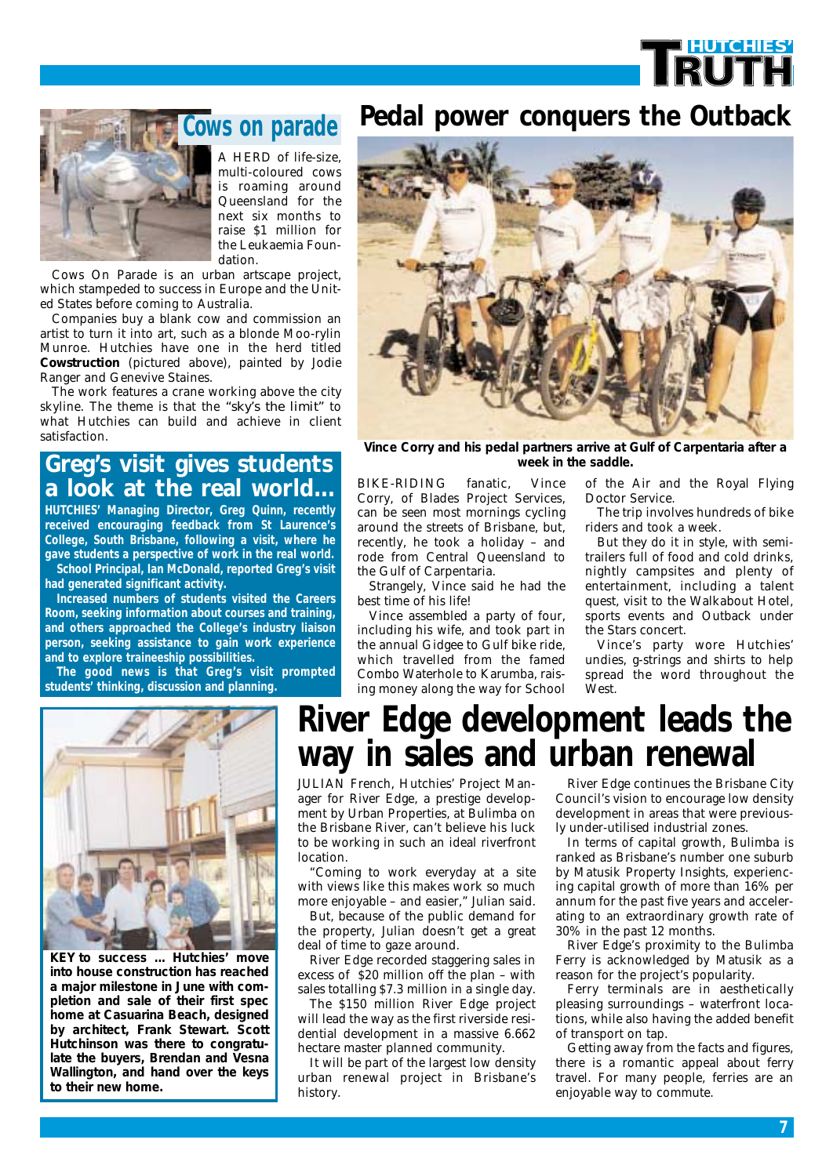# **HUTCHIES'**



A HERD of life-size, multi-coloured cows is roaming around Queensland for the next six months to raise \$1 million for the Leukaemia Foundation. **Cows on parade**

Cows On Parade is an urban artscape project, which stampeded to success in Europe and the United States before coming to Australia.

Companies buy a blank cow and commission an artist to turn it into art, such as a blonde Moo-rylin Munroe. Hutchies have one in the herd titled *Cowstruction* (pictured above), painted by Jodie Ranger and Genevive Staines.

The work features a crane working above the city skyline. The theme is that the *"sky's the limit"* to what Hutchies can build and achieve in client satisfaction.

#### **Greg's visit gives students a look at the real world...**

**HUTCHIES' Managing Director, Greg Quinn, recently received encouraging feedback from St Laurence's College, South Brisbane, following a visit, where he gave students a perspective of work in the real world. School Principal, Ian McDonald, reported Greg's visit had generated significant activity.**

**Increased numbers of students visited the Careers Room, seeking information about courses and training, and others approached the College's industry liaison person, seeking assistance to gain work experience and to explore traineeship possibilities.**

**The good news is that Greg's visit prompted students' thinking, discussion and planning.** 

### **Pedal power conquers the Outback**



*Vince Corry and his pedal partners arrive at Gulf of Carpentaria after a*

BIKE-RIDING fanatic, Vince Corry, of Blades Project Services, can be seen most mornings cycling around the streets of Brisbane, but, recently, he took a holiday – and rode from Central Queensland to the Gulf of Carpentaria.

Strangely, Vince said he had the best time of his life!

Vince assembled a party of four, including his wife, and took part in the annual Gidgee to Gulf bike ride, which travelled from the famed Combo Waterhole to Karumba, raising money along the way for School of the Air and the Royal Flying Doctor Service.

The trip involves hundreds of bike riders and took a week.

But they do it in style, with semitrailers full of food and cold drinks, nightly campsites and plenty of entertainment, including a talent quest, visit to the Walkabout Hotel, sports events and Outback under the Stars concert.

Vince's party wore Hutchies' undies, g-strings and shirts to help spread the word throughout the West.



*KEY to success ... Hutchies' move into house construction has reached a major milestone in June with completion and sale of their first spec home at Casuarina Beach, designed by architect, Frank Stewart. Scott Hutchinson was there to congratulate the buyers, Brendan and Vesna Wallington, and hand over the keys to their new home.*

## **River Edge development leads the way in sales and urban renewal**

JULIAN French, Hutchies' Project Manager for River Edge, a prestige development by Urban Properties, at Bulimba on the Brisbane River, can't believe his luck to be working in such an ideal riverfront location.

"Coming to work everyday at a site with views like this makes work so much more enjoyable – and easier," Julian said.

But, because of the public demand for the property, Julian doesn't get a great deal of time to gaze around.

River Edge recorded staggering sales in excess of \$20 million off the plan – with sales totalling \$7.3 million in a single day.

The \$150 million River Edge project will lead the way as the first riverside residential development in a massive 6.662 hectare master planned community.

It will be part of the largest low density urban renewal project in Brisbane's history.

River Edge continues the Brisbane City Council's vision to encourage low density development in areas that were previously under-utilised industrial zones.

In terms of capital growth, Bulimba is ranked as Brisbane's number one suburb by Matusik Property Insights, experiencing capital growth of more than 16% per annum for the past five years and accelerating to an extraordinary growth rate of 30% in the past 12 months.

River Edge's proximity to the Bulimba Ferry is acknowledged by Matusik as a reason for the project's popularity.

Ferry terminals are in aesthetically pleasing surroundings – waterfront locations, while also having the added benefit of transport on tap.

Getting away from the facts and figures, there is a romantic appeal about ferry travel. For many people, ferries are an enjoyable way to commute.